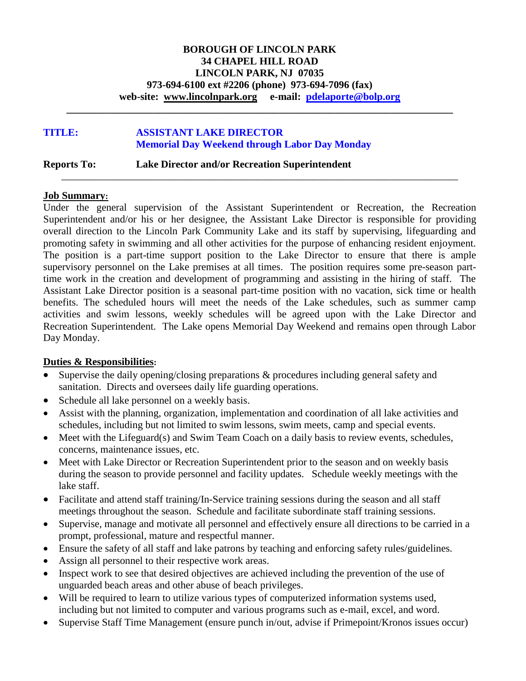### **BOROUGH OF LINCOLN PARK 34 CHAPEL HILL ROAD LINCOLN PARK, NJ 07035 973-694-6100 ext #2206 (phone) 973-694-7096 (fax) web-site: [www.lincolnpark.org](http://www.lincolnpark.org/) e-mail: [pdelaporte@bolp.org](mailto:pdelaporte@bolp.org)**

**\_\_\_\_\_\_\_\_\_\_\_\_\_\_\_\_\_\_\_\_\_\_\_\_\_\_\_\_\_\_\_\_\_\_\_\_\_\_\_\_\_\_\_\_\_\_\_\_\_\_\_\_\_\_\_\_\_\_\_\_\_\_\_\_\_\_\_\_\_\_\_\_\_\_\_**

\_\_\_\_\_\_\_\_\_\_\_\_\_\_\_\_\_\_\_\_\_\_\_\_\_\_\_\_\_\_\_\_\_\_\_\_\_\_\_\_\_\_\_\_\_\_\_\_\_\_\_\_\_\_\_\_\_\_\_\_\_\_\_\_\_\_\_\_\_\_\_\_\_\_\_\_\_

## **TITLE: ASSISTANT LAKE DIRECTOR Memorial Day Weekend through Labor Day Monday**

**Reports To: Lake Director and/or Recreation Superintendent**

#### **Job Summary:**

Under the general supervision of the Assistant Superintendent or Recreation, the Recreation Superintendent and/or his or her designee, the Assistant Lake Director is responsible for providing overall direction to the Lincoln Park Community Lake and its staff by supervising, lifeguarding and promoting safety in swimming and all other activities for the purpose of enhancing resident enjoyment. The position is a part-time support position to the Lake Director to ensure that there is ample supervisory personnel on the Lake premises at all times. The position requires some pre-season parttime work in the creation and development of programming and assisting in the hiring of staff. The Assistant Lake Director position is a seasonal part-time position with no vacation, sick time or health benefits. The scheduled hours will meet the needs of the Lake schedules, such as summer camp activities and swim lessons, weekly schedules will be agreed upon with the Lake Director and Recreation Superintendent. The Lake opens Memorial Day Weekend and remains open through Labor Day Monday.

### **Duties & Responsibilities:**

- Supervise the daily opening/closing preparations & procedures including general safety and sanitation. Directs and oversees daily life guarding operations.
- Schedule all lake personnel on a weekly basis.
- Assist with the planning, organization, implementation and coordination of all lake activities and schedules, including but not limited to swim lessons, swim meets, camp and special events.
- Meet with the Lifeguard(s) and Swim Team Coach on a daily basis to review events, schedules, concerns, maintenance issues, etc.
- Meet with Lake Director or Recreation Superintendent prior to the season and on weekly basis during the season to provide personnel and facility updates. Schedule weekly meetings with the lake staff.
- Facilitate and attend staff training/In-Service training sessions during the season and all staff meetings throughout the season. Schedule and facilitate subordinate staff training sessions.
- Supervise, manage and motivate all personnel and effectively ensure all directions to be carried in a prompt, professional, mature and respectful manner.
- Ensure the safety of all staff and lake patrons by teaching and enforcing safety rules/guidelines.
- Assign all personnel to their respective work areas.
- Inspect work to see that desired objectives are achieved including the prevention of the use of unguarded beach areas and other abuse of beach privileges.
- Will be required to learn to utilize various types of computerized information systems used, including but not limited to computer and various programs such as e-mail, excel, and word.
- Supervise Staff Time Management (ensure punch in/out, advise if Primepoint/Kronos issues occur)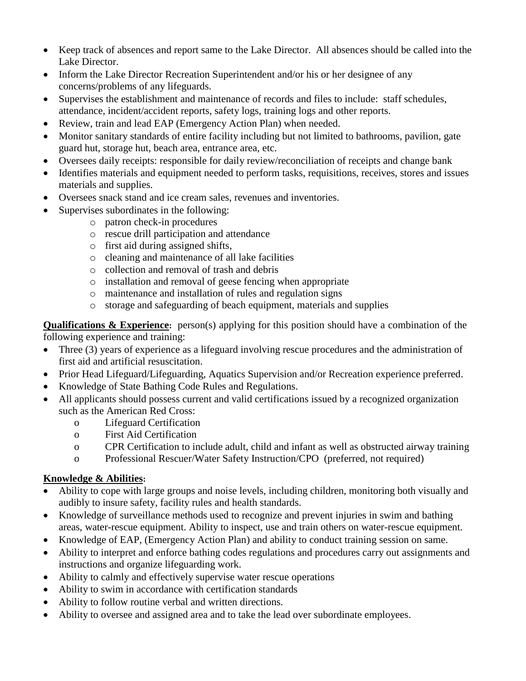- Keep track of absences and report same to the Lake Director. All absences should be called into the Lake Director.
- Inform the Lake Director Recreation Superintendent and/or his or her designee of any concerns/problems of any lifeguards.
- Supervises the establishment and maintenance of records and files to include: staff schedules, attendance, incident/accident reports, safety logs, training logs and other reports.
- Review, train and lead EAP (Emergency Action Plan) when needed.
- Monitor sanitary standards of entire facility including but not limited to bathrooms, pavilion, gate guard hut, storage hut, beach area, entrance area, etc.
- Oversees daily receipts: responsible for daily review/reconciliation of receipts and change bank
- Identifies materials and equipment needed to perform tasks, requisitions, receives, stores and issues materials and supplies.
- Oversees snack stand and ice cream sales, revenues and inventories.
- Supervises subordinates in the following:
	- o patron check-in procedures
	- o rescue drill participation and attendance
	- o first aid during assigned shifts,
	- o cleaning and maintenance of all lake facilities
	- o collection and removal of trash and debris
	- o installation and removal of geese fencing when appropriate
	- o maintenance and installation of rules and regulation signs
	- o storage and safeguarding of beach equipment, materials and supplies

**Qualifications & Experience:** person(s) applying for this position should have a combination of the following experience and training:

- Three (3) years of experience as a lifeguard involving rescue procedures and the administration of first aid and artificial resuscitation.
- Prior Head Lifeguard/Lifeguarding, Aquatics Supervision and/or Recreation experience preferred.
- Knowledge of State Bathing Code Rules and Regulations.
- All applicants should possess current and valid certifications issued by a recognized organization such as the American Red Cross:
	- o Lifeguard Certification
	- o First Aid Certification
	- o CPR Certification to include adult, child and infant as well as obstructed airway training
	- o Professional Rescuer/Water Safety Instruction/CPO (preferred, not required)

# **Knowledge & Abilities:**

- Ability to cope with large groups and noise levels, including children, monitoring both visually and audibly to insure safety, facility rules and health standards.
- Knowledge of surveillance methods used to recognize and prevent injuries in swim and bathing areas, water-rescue equipment. Ability to inspect, use and train others on water-rescue equipment.
- Knowledge of EAP, (Emergency Action Plan) and ability to conduct training session on same.
- Ability to interpret and enforce bathing codes regulations and procedures carry out assignments and instructions and organize lifeguarding work.
- Ability to calmly and effectively supervise water rescue operations
- Ability to swim in accordance with certification standards
- Ability to follow routine verbal and written directions.
- Ability to oversee and assigned area and to take the lead over subordinate employees.